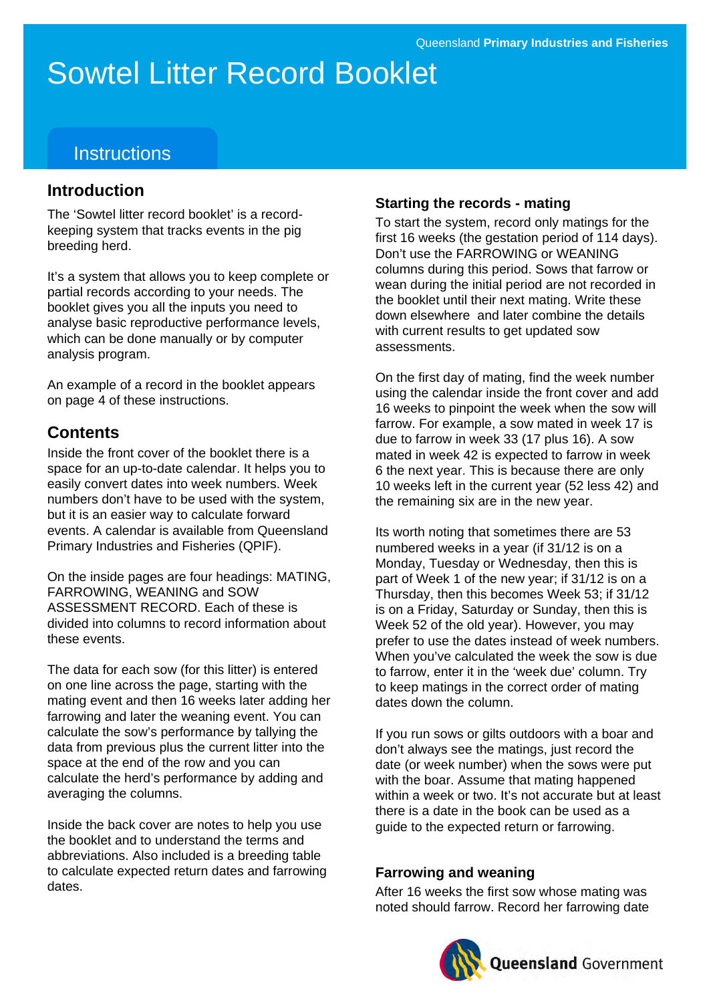# Sowtel Litter Record Booklet

# **Instructions**

### **Introduction**

The 'Sowtel litter record booklet' is a recordkeeping system that tracks events in the pig breeding herd.

It's a system that allows you to keep complete or partial records according to your needs. The booklet gives you all the inputs you need to analyse basic reproductive performance levels, which can be done manually or by computer analysis program.

An example of a record in the booklet appears on page 4 of these instructions.

## **Contents**

Inside the front cover of the booklet there is a space for an up-to-date calendar. It helps you to easily convert dates into week numbers. Week numbers don't have to be used with the system, but it is an easier way to calculate forward events. A calendar is available from Queensland Primary Industries and Fisheries (QPIF).

On the inside pages are four headings: MATING, FARROWING, WEANING and SOW ASSESSMENT RECORD. Each of these is divided into columns to record information about these events.

The data for each sow (for this litter) is entered on one line across the page, starting with the mating event and then 16 weeks later adding her farrowing and later the weaning event. You can calculate the sow's performance by tallying the data from previous plus the current litter into the space at the end of the row and you can calculate the herd's performance by adding and averaging the columns.

Inside the back cover are notes to help you use the booklet and to understand the terms and abbreviations. Also included is a breeding table to calculate expected return dates and farrowing dates.

#### **Starting the records - mating**

To start the system, record only matings for the first 16 weeks (the gestation period of 114 days). Don't use the FARROWING or WEANING columns during this period. Sows that farrow or wean during the initial period are not recorded in the booklet until their next mating. Write these down elsewhere and later combine the details with current results to get updated sow assessments.

On the first day of mating, find the week number using the calendar inside the front cover and add 16 weeks to pinpoint the week when the sow will farrow. For example, a sow mated in week 17 is due to farrow in week 33 (17 plus 16). A sow mated in week 42 is expected to farrow in week 6 the next year. This is because there are only 10 weeks left in the current year (52 less 42) and the remaining six are in the new year.

Its worth noting that sometimes there are 53 numbered weeks in a year (if 31/12 is on a Monday, Tuesday or Wednesday, then this is part of Week 1 of the new year; if 31/12 is on a Thursday, then this becomes Week 53; if 31/12 is on a Friday, Saturday or Sunday, then this is Week 52 of the old year). However, you may prefer to use the dates instead of week numbers. When you've calculated the week the sow is due to farrow, enter it in the 'week due' column. Try to keep matings in the correct order of mating dates down the column.

If you run sows or gilts outdoors with a boar and don't always see the matings, just record the date (or week number) when the sows were put with the boar. Assume that mating happened within a week or two. It's not accurate but at least there is a date in the book can be used as a guide to the expected return or farrowing.

#### **Farrowing and weaning**

After 16 weeks the first sow whose mating was noted should farrow. Record her farrowing date

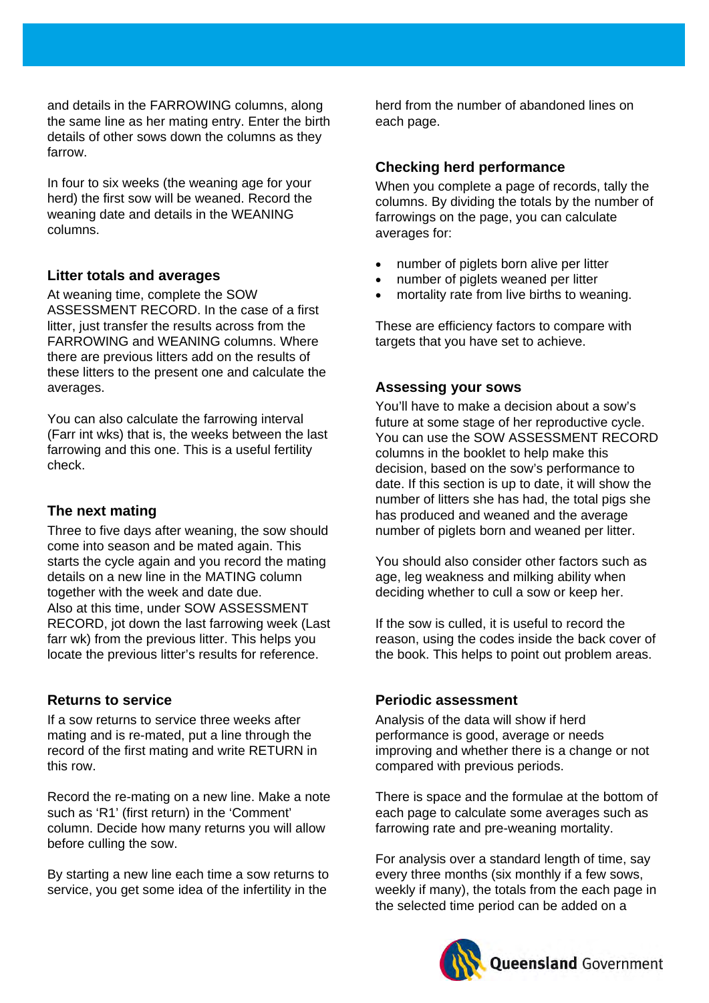and details in the FARROWING columns, along the same line as her mating entry. Enter the birth details of other sows down the columns as they farrow.

In four to six weeks (the weaning age for your herd) the first sow will be weaned. Record the weaning date and details in the WEANING columns.

#### **Litter totals and averages**

At weaning time, complete the SOW ASSESSMENT RECORD. In the case of a first litter, just transfer the results across from the FARROWING and WEANING columns. Where there are previous litters add on the results of these litters to the present one and calculate the averages.

You can also calculate the farrowing interval (Farr int wks) that is, the weeks between the last farrowing and this one. This is a useful fertility check.

#### **The next mating**

Three to five days after weaning, the sow should come into season and be mated again. This starts the cycle again and you record the mating details on a new line in the MATING column together with the week and date due. Also at this time, under SOW ASSESSMENT RECORD, jot down the last farrowing week (Last farr wk) from the previous litter. This helps you locate the previous litter's results for reference.

#### **Returns to service**

If a sow returns to service three weeks after mating and is re-mated, put a line through the record of the first mating and write RETURN in this row.

Record the re-mating on a new line. Make a note such as 'R1' (first return) in the 'Comment' column. Decide how many returns you will allow before culling the sow.

By starting a new line each time a sow returns to service, you get some idea of the infertility in the

herd from the number of abandoned lines on each page.

#### **Checking herd performance**

When you complete a page of records, tally the columns. By dividing the totals by the number of farrowings on the page, you can calculate averages for:

- number of piglets born alive per litter
- number of piglets weaned per litter
- mortality rate from live births to weaning.

These are efficiency factors to compare with targets that you have set to achieve.

#### **Assessing your sows**

You'll have to make a decision about a sow's future at some stage of her reproductive cycle. You can use the SOW ASSESSMENT RECORD columns in the booklet to help make this decision, based on the sow's performance to date. If this section is up to date, it will show the number of litters she has had, the total pigs she has produced and weaned and the average number of piglets born and weaned per litter.

You should also consider other factors such as age, leg weakness and milking ability when deciding whether to cull a sow or keep her.

If the sow is culled, it is useful to record the reason, using the codes inside the back cover of the book. This helps to point out problem areas.

#### **Periodic assessment**

Analysis of the data will show if herd performance is good, average or needs improving and whether there is a change or not compared with previous periods.

There is space and the formulae at the bottom of each page to calculate some averages such as farrowing rate and pre-weaning mortality.

For analysis over a standard length of time, say every three months (six monthly if a few sows, weekly if many), the totals from the each page in the selected time period can be added on a

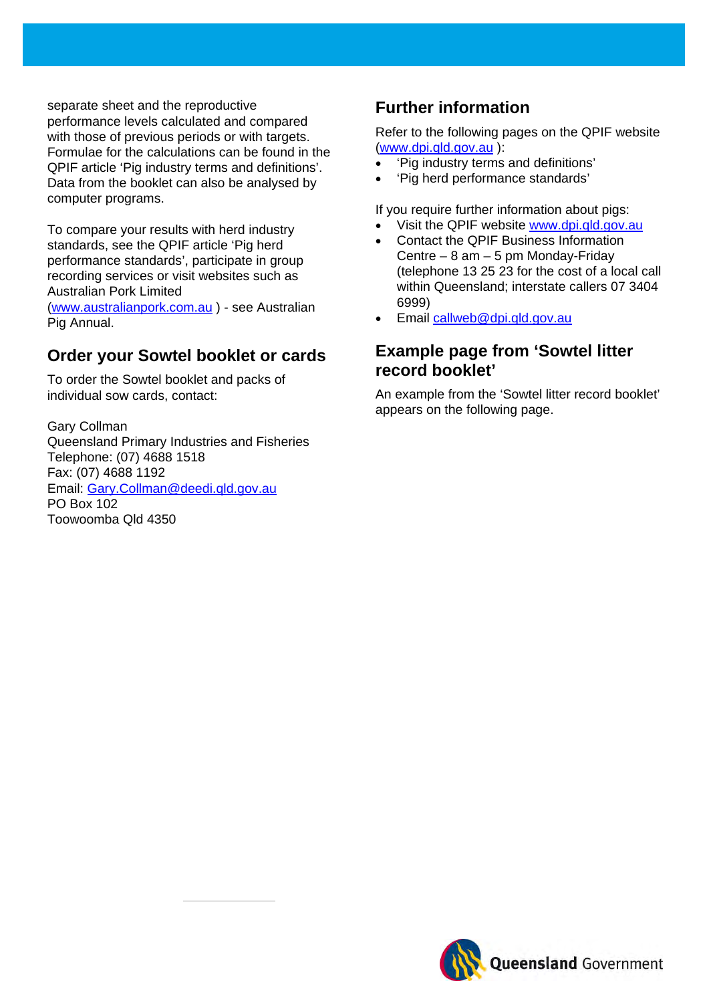separate sheet and the reproductive performance levels calculated and compared with those of previous periods or with targets. Formulae for the calculations can be found in the QPIF article 'Pig industry terms and definitions'. Data from the booklet can also be analysed by computer programs.

To compare your results with herd industry standards, see the QPIF article 'Pig herd performance standards', participate in group recording services or visit websites such as Australian Pork Limited

[\(www.australianpork.com.au](http://www.australianpork.com.au/) ) - see Australian Pig Annual.

## **Order your Sowtel booklet or cards**

To order the Sowtel booklet and packs of individual sow cards, contact:

Gary Collman Queensland Primary Industries and Fisheries Telephone: (07) 4688 1518 Fax: (07) 4688 1192 Email: [Gary.Collman@deedi.qld.gov.au](mailto:Gary.Collman@deedi.qld.gov.au) PO Box 102 Toowoomba Qld 4350

reproduction should be directed to [ipcu@dpi.qld.gov.au](mailto:ipcu@dpi.qld.gov.au) or telephone +61 7 3225 1398.

# **Further information**

Refer to the following pages on the QPIF website [\(www.dpi.qld.gov.au](http://www.dpi.qld.gov.au/) ):

- 'Pig industry terms and definitions'
- 'Pig herd performance standards'

If you require further information about pigs:

- Visit the QPIF website [www.dpi.qld.gov.au](http://www.dpi.qld.gov.au/)
- Contact the QPIF Business Information Centre – 8 am – 5 pm Monday-Friday (telephone 13 25 23 for the cost of a local call within Queensland; interstate callers 07 3404 6999)
- Email [callweb@dpi.qld.gov.au](mailto:callweb@dpi.qld.gov.au)

## **Example page from 'Sowtel litter record booklet'**

An example from the 'Sowtel litter record booklet' appears on the following page.